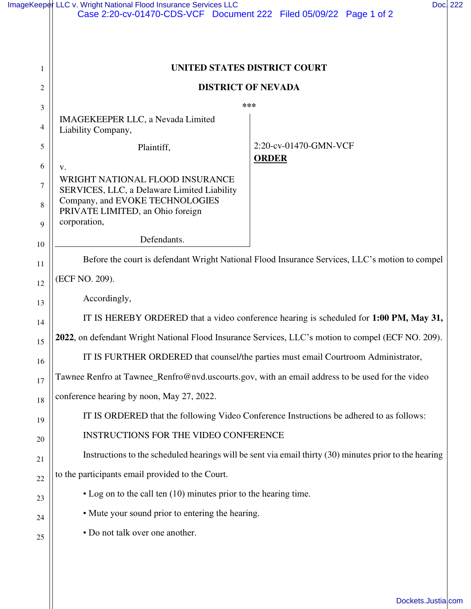|                | ImageKeeper LLC v. Wright National Flood Insurance Services LLC<br>Case 2:20-cv-01470-CDS-VCF Document 222 Filed 05/09/22 Page 1 of 2 | Doc. 222                                                                                       |  |
|----------------|---------------------------------------------------------------------------------------------------------------------------------------|------------------------------------------------------------------------------------------------|--|
|                |                                                                                                                                       |                                                                                                |  |
|                |                                                                                                                                       |                                                                                                |  |
| 1              | UNITED STATES DISTRICT COURT                                                                                                          |                                                                                                |  |
| $\overline{c}$ | <b>DISTRICT OF NEVADA</b>                                                                                                             |                                                                                                |  |
| 3              |                                                                                                                                       | ***                                                                                            |  |
| 4              | IMAGEKEEPER LLC, a Nevada Limited<br>Liability Company,                                                                               |                                                                                                |  |
| 5              | Plaintiff,                                                                                                                            | 2:20-cv-01470-GMN-VCF<br><b>ORDER</b>                                                          |  |
| 6              | V.                                                                                                                                    |                                                                                                |  |
| $\tau$         | WRIGHT NATIONAL FLOOD INSURANCE<br>SERVICES, LLC, a Delaware Limited Liability                                                        |                                                                                                |  |
| 8              | Company, and EVOKE TECHNOLOGIES<br>PRIVATE LIMITED, an Ohio foreign                                                                   |                                                                                                |  |
| 9              | corporation,                                                                                                                          |                                                                                                |  |
| 10             | Defendants.                                                                                                                           |                                                                                                |  |
| 11             |                                                                                                                                       | Before the court is defendant Wright National Flood Insurance Services, LLC's motion to compel |  |
| 12             | (ECF NO. 209).                                                                                                                        |                                                                                                |  |
| 13             | Accordingly,                                                                                                                          |                                                                                                |  |
| 14             | IT IS HEREBY ORDERED that a video conference hearing is scheduled for 1:00 PM, May 31,                                                |                                                                                                |  |
| 15             | 2022, on defendant Wright National Flood Insurance Services, LLC's motion to compel (ECF NO. 209).                                    |                                                                                                |  |
| 16             | IT IS FURTHER ORDERED that counsel/the parties must email Courtroom Administrator,                                                    |                                                                                                |  |
| 17             | Tawnee Renfro at Tawnee_Renfro@nvd.uscourts.gov, with an email address to be used for the video                                       |                                                                                                |  |
| 18             | conference hearing by noon, May 27, 2022.                                                                                             |                                                                                                |  |
| 19             | IT IS ORDERED that the following Video Conference Instructions be adhered to as follows:                                              |                                                                                                |  |
| 20             | INSTRUCTIONS FOR THE VIDEO CONFERENCE                                                                                                 |                                                                                                |  |
| 21             | Instructions to the scheduled hearings will be sent via email thirty (30) minutes prior to the hearing                                |                                                                                                |  |
| 22             | to the participants email provided to the Court.                                                                                      |                                                                                                |  |
| 23             | • Log on to the call ten (10) minutes prior to the hearing time.                                                                      |                                                                                                |  |
| 24             | • Mute your sound prior to entering the hearing.                                                                                      |                                                                                                |  |
| 25             | • Do not talk over one another.                                                                                                       |                                                                                                |  |
|                |                                                                                                                                       |                                                                                                |  |

| Dockets.Justia.com |  |  |
|--------------------|--|--|
|--------------------|--|--|